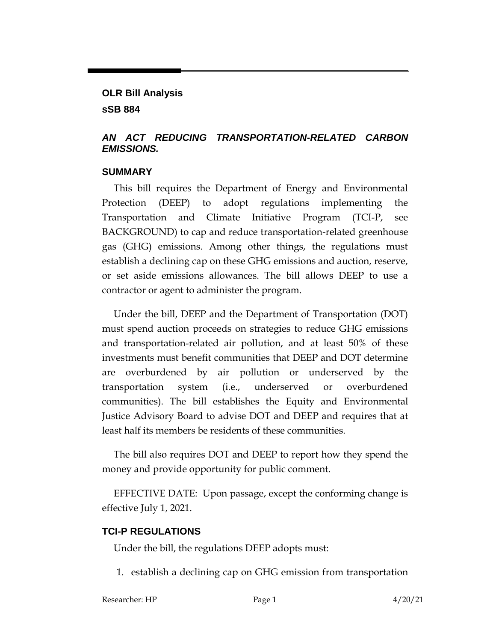## **OLR Bill Analysis sSB 884**

### *AN ACT REDUCING TRANSPORTATION-RELATED CARBON EMISSIONS.*

#### **SUMMARY**

This bill requires the Department of Energy and Environmental Protection (DEEP) to adopt regulations implementing the Transportation and Climate Initiative Program (TCI-P, see BACKGROUND) to cap and reduce transportation-related greenhouse gas (GHG) emissions. Among other things, the regulations must establish a declining cap on these GHG emissions and auction, reserve, or set aside emissions allowances. The bill allows DEEP to use a contractor or agent to administer the program.

Under the bill, DEEP and the Department of Transportation (DOT) must spend auction proceeds on strategies to reduce GHG emissions and transportation-related air pollution, and at least 50% of these investments must benefit communities that DEEP and DOT determine are overburdened by air pollution or underserved by the transportation system (i.e., underserved or overburdened communities). The bill establishes the Equity and Environmental Justice Advisory Board to advise DOT and DEEP and requires that at least half its members be residents of these communities.

The bill also requires DOT and DEEP to report how they spend the money and provide opportunity for public comment.

EFFECTIVE DATE: Upon passage, except the conforming change is effective July 1, 2021.

## **TCI-P REGULATIONS**

Under the bill, the regulations DEEP adopts must:

1. establish a declining cap on GHG emission from transportation

Researcher: HP Page 1 4/20/21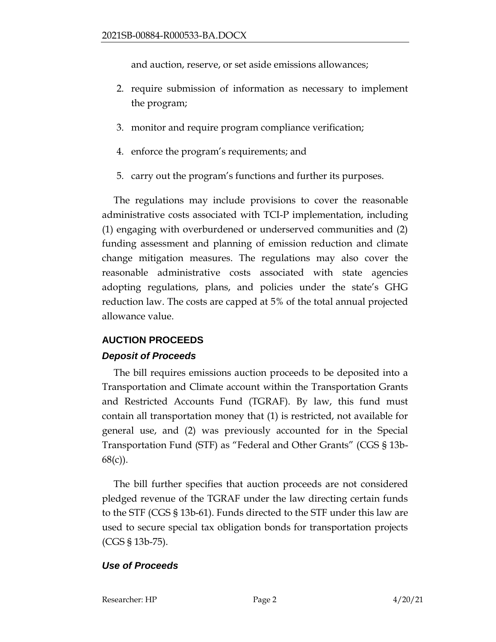and auction, reserve, or set aside emissions allowances;

- 2. require submission of information as necessary to implement the program;
- 3. monitor and require program compliance verification;
- 4. enforce the program's requirements; and
- 5. carry out the program's functions and further its purposes.

The regulations may include provisions to cover the reasonable administrative costs associated with TCI-P implementation, including (1) engaging with overburdened or underserved communities and (2) funding assessment and planning of emission reduction and climate change mitigation measures. The regulations may also cover the reasonable administrative costs associated with state agencies adopting regulations, plans, and policies under the state's GHG reduction law. The costs are capped at 5% of the total annual projected allowance value.

## **AUCTION PROCEEDS**

#### *Deposit of Proceeds*

The bill requires emissions auction proceeds to be deposited into a Transportation and Climate account within the Transportation Grants and Restricted Accounts Fund (TGRAF). By law, this fund must contain all transportation money that (1) is restricted, not available for general use, and (2) was previously accounted for in the Special Transportation Fund (STF) as "Federal and Other Grants" (CGS § 13b-68(c)).

The bill further specifies that auction proceeds are not considered pledged revenue of the TGRAF under the law directing certain funds to the STF (CGS § 13b-61). Funds directed to the STF under this law are used to secure special tax obligation bonds for transportation projects (CGS § 13b-75).

#### *Use of Proceeds*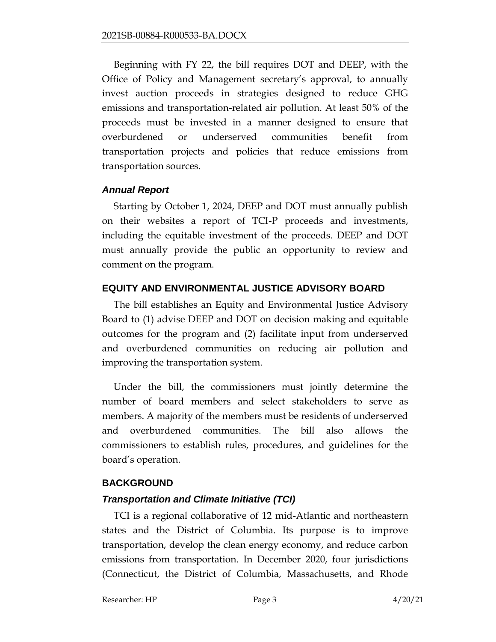Beginning with FY 22, the bill requires DOT and DEEP, with the Office of Policy and Management secretary's approval, to annually invest auction proceeds in strategies designed to reduce GHG emissions and transportation-related air pollution. At least 50% of the proceeds must be invested in a manner designed to ensure that overburdened or underserved communities benefit from transportation projects and policies that reduce emissions from transportation sources.

#### *Annual Report*

Starting by October 1, 2024, DEEP and DOT must annually publish on their websites a report of TCI-P proceeds and investments, including the equitable investment of the proceeds. DEEP and DOT must annually provide the public an opportunity to review and comment on the program.

#### **EQUITY AND ENVIRONMENTAL JUSTICE ADVISORY BOARD**

The bill establishes an Equity and Environmental Justice Advisory Board to (1) advise DEEP and DOT on decision making and equitable outcomes for the program and (2) facilitate input from underserved and overburdened communities on reducing air pollution and improving the transportation system.

Under the bill, the commissioners must jointly determine the number of board members and select stakeholders to serve as members. A majority of the members must be residents of underserved and overburdened communities. The bill also allows the commissioners to establish rules, procedures, and guidelines for the board's operation.

#### **BACKGROUND**

#### *Transportation and Climate Initiative (TCI)*

TCI is a regional collaborative of 12 mid-Atlantic and northeastern states and the District of Columbia. Its purpose is to improve transportation, develop the clean energy economy, and reduce carbon emissions from transportation. In December 2020, four jurisdictions (Connecticut, the District of Columbia, Massachusetts, and Rhode